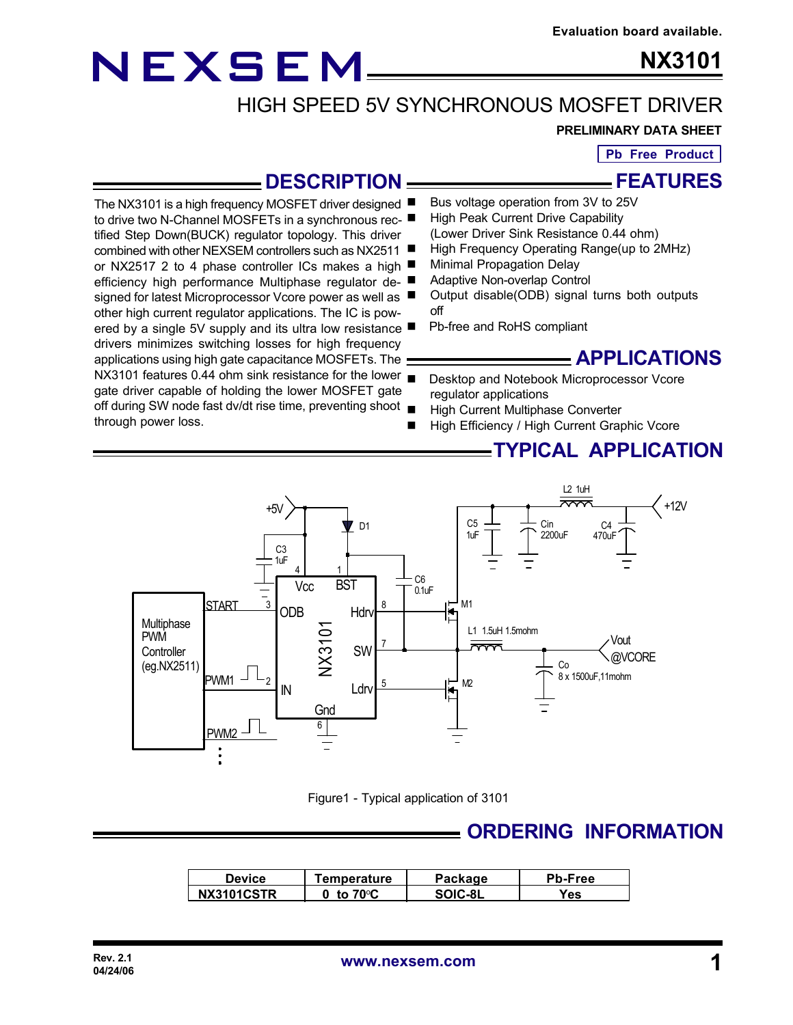# NEXSEM

tified Step Down(BUCK) regulator topology. This driver combined with other NEXSEM controllers such as NX2511

signed for latest Microprocessor Vcore power as well as other high current regulator applications. The IC is pow-

drivers minimizes switching losses for high frequency applications using high gate capacitance MOSFETs. The

gate driver capable of holding the lower MOSFET gate

through power loss.

**NX3101**

# HIGH SPEED 5V SYNCHRONOUS MOSFET DRIVER

#### **PRELIMINARY DATA SHEET**

**Pb Free Product**

**FEATURES**

### **DESCRIPTION**

- The NX3101 is a high frequency MOSFET driver designed Bus voltage operation from 3V to 25V
- to drive two N-Channel MOSFETs in a synchronous rec- High Peak Current Drive Capability (Lower Driver Sink Resistance 0.44 ohm)
	- High Frequency Operating Range(up to 2MHz)
- or NX2517 2 to 4 phase controller ICs makes a high **Minimal Propagation Delay**
- efficiency high performance Multiphase regulator de-Adaptive Non-overlap Control
	- Output disable(ODB) signal turns both outputs off
- ered by a single 5V supply and its ultra low resistance Pb-free and RoHS compliant

#### **APPLICATIONS**

- NX3101 features 0.44 ohm sink resistance for the lower Desktop and Notebook Microprocessor Vcore regulator applications
- off during SW node fast dv/dt rise time, preventing shoot High Current Multiphase Converter
	- High Efficiency / High Current Graphic Vcore

#### **TYPICAL APPLICATION**



Figure1 - Typical application of 3101

### **ORDERING INFORMATION**

| <b>Device</b> | <b>femperature</b> | Package | <b>Pb-Free</b> |  |
|---------------|--------------------|---------|----------------|--|
| NX3101CSTR    | 70°C<br>tο         | SOIC-8L | Yes            |  |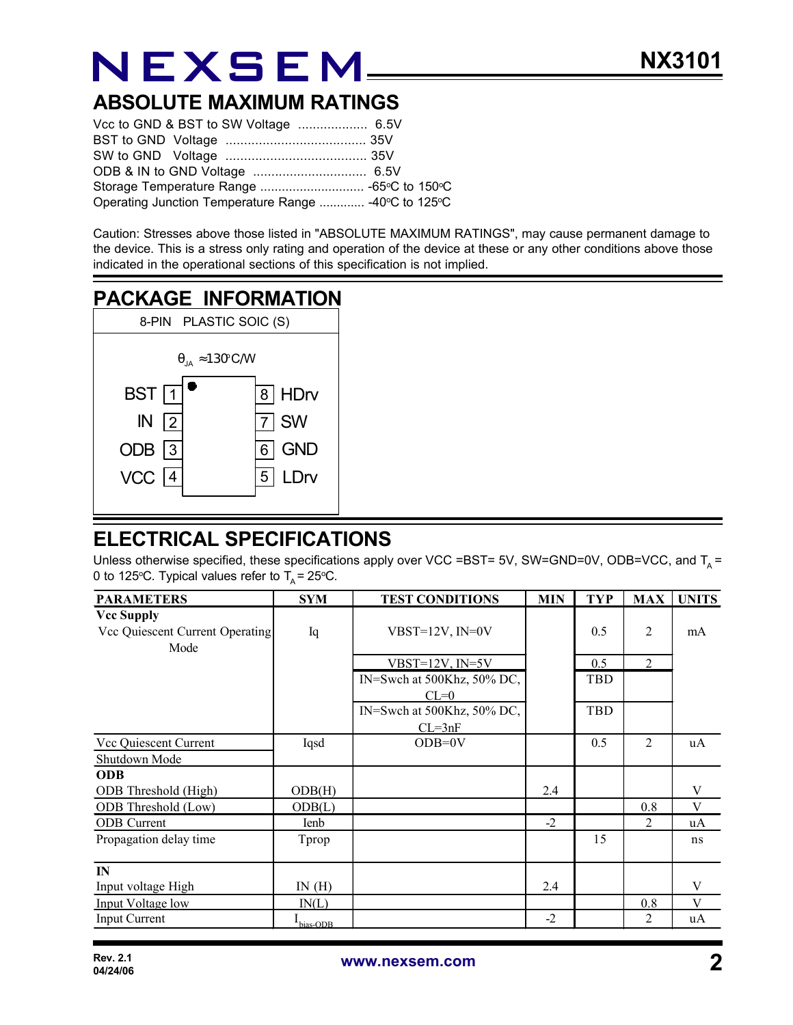# NEXSEM

### **ABSOLUTE MAXIMUM RATINGS**

| Operating Junction Temperature Range  -40°C to 125°C |  |
|------------------------------------------------------|--|

Caution: Stresses above those listed in "ABSOLUTE MAXIMUM RATINGS", may cause permanent damage to the device. This is a stress only rating and operation of the device at these or any other conditions above those indicated in the operational sections of this specification is not implied.

### **PACKAGE INFORMATION**



## **ELECTRICAL SPECIFICATIONS**

Unless otherwise specified, these specifications apply over VCC =BST= 5V, SW=GND=0V, ODB=VCC, and T<sub>A</sub> = 0 to 125 °C. Typical values refer to  $T_A = 25$  °C.

| <b>PARAMETERS</b>               | <b>SYM</b>   | <b>TEST CONDITIONS</b>     | <b>MIN</b> | <b>TYP</b> | <b>MAX</b>     | <b>UNITS</b> |
|---------------------------------|--------------|----------------------------|------------|------------|----------------|--------------|
| <b>Vcc Supply</b>               |              |                            |            |            |                |              |
| Vcc Quiescent Current Operating | Iq           | $VBST=12V$ , $IN=0V$       |            | 0.5        | $\overline{2}$ | mA           |
| Mode                            |              |                            |            |            |                |              |
|                                 |              | VBST= $12V$ , IN= $5V$     |            | 0.5        | $\overline{2}$ |              |
|                                 |              | IN=Swch at 500Khz, 50% DC, |            | TBD        |                |              |
|                                 |              | $CL=0$                     |            |            |                |              |
|                                 |              | IN=Swch at 500Khz, 50% DC, |            | TBD        |                |              |
|                                 |              | $CL = 3nF$                 |            |            |                |              |
| Vcc Quiescent Current           | Iqsd         | $ODB=0V$                   |            | 0.5        | 2              | uA           |
| Shutdown Mode                   |              |                            |            |            |                |              |
| <b>ODB</b>                      |              |                            |            |            |                |              |
| ODB Threshold (High)            | ODB(H)       |                            | 2.4        |            |                | V            |
| ODB Threshold (Low)             | ODB(L)       |                            |            |            | 0.8            | V            |
| <b>ODB</b> Current              | <b>I</b> enb |                            | $-2$       |            | $\overline{2}$ | uA           |
| Propagation delay time          | Tprop        |                            |            | 15         |                | ns           |
| $\mathbf{I}$ N                  |              |                            |            |            |                |              |
| Input voltage High              | IN(H)        |                            | 2.4        |            |                | V            |
| Input Voltage low               | IN(L)        |                            |            |            | 0.8            | V            |
| <b>Input Current</b>            | bias-ODB     |                            | $-2$       |            | $\overline{2}$ | uA           |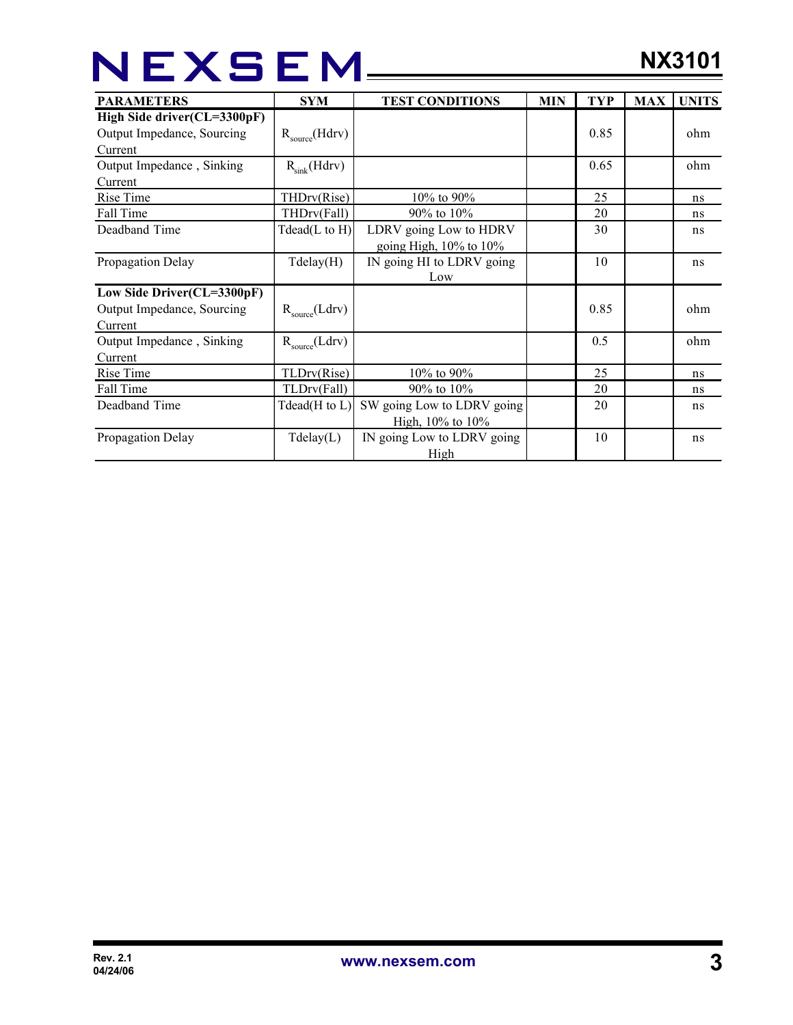# NEXSEM\_\_\_\_

| <b>PARAMETERS</b>           | <b>SYM</b>               | <b>TEST CONDITIONS</b>       | <b>MIN</b> | <b>TYP</b> | <b>MAX</b> | <b>UNITS</b> |
|-----------------------------|--------------------------|------------------------------|------------|------------|------------|--------------|
| High Side driver(CL=3300pF) |                          |                              |            |            |            |              |
| Output Impedance, Sourcing  | $R_{source}(Hdrv)$       |                              |            | 0.85       |            | ohm          |
| Current                     |                          |                              |            |            |            |              |
| Output Impedance, Sinking   | $R_{\text{sink}}(Hdrv)$  |                              |            | 0.65       |            | ohm          |
| <b>Current</b>              |                          |                              |            |            |            |              |
| Rise Time                   | THDrv(Rise)              | 10% to 90%                   |            | 25         |            | ns           |
| Fall Time                   | THDrv(Fall)              | $90\%$ to $10\%$             |            | 20         |            | ns           |
| Deadband Time               | $Tdead(L \text{ to } H)$ | LDRV going Low to HDRV       |            | 30         |            | ns           |
|                             |                          | going High, $10\%$ to $10\%$ |            |            |            |              |
| Propagation Delay           | Tdelay(H)                | IN going HI to LDRV going    |            | 10         |            | ns           |
|                             |                          | Low                          |            |            |            |              |
| Low Side Driver(CL=3300pF)  |                          |                              |            |            |            |              |
| Output Impedance, Sourcing  | $R_{source}(Ldrv)$       |                              |            | 0.85       |            | ohm          |
| Current                     |                          |                              |            |            |            |              |
| Output Impedance, Sinking   | $R_{source}(Ldrv)$       |                              |            | 0.5        |            | ohm          |
| Current                     |                          |                              |            |            |            |              |
| Rise Time                   | TLDrv(Rise)              | 10% to 90%                   |            | 25         |            | ns           |
| Fall Time                   | TLDrv(Fall)              | 90% to 10%                   |            | 20         |            | ns           |
| Deadband Time               | Tdead( $H$ to $L$ )      | SW going Low to LDRV going   |            | 20         |            | ns           |
|                             |                          | High, $10\%$ to $10\%$       |            |            |            |              |
| Propagation Delay           | $T$ delay $(L)$          | IN going Low to LDRV going   |            | 10         |            | ns           |
|                             |                          | High                         |            |            |            |              |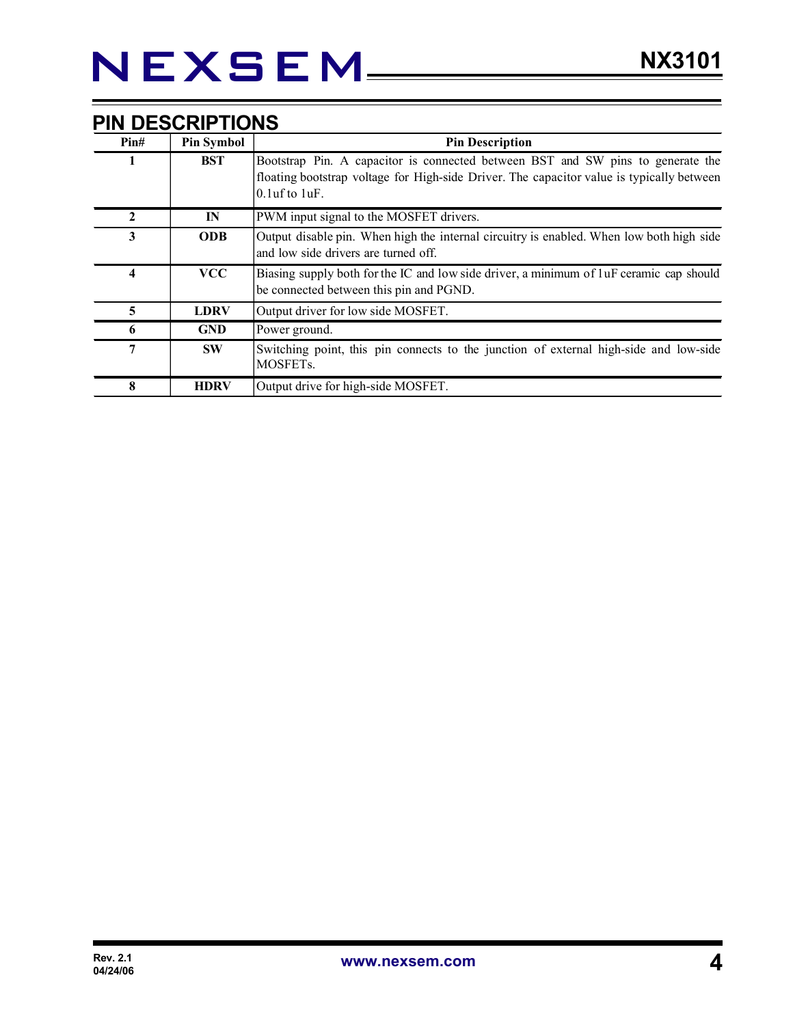| Pin# | <b>Pin Symbol</b> | <b>Pin Description</b>                                                                                                                                                                              |
|------|-------------------|-----------------------------------------------------------------------------------------------------------------------------------------------------------------------------------------------------|
|      | <b>BST</b>        | Bootstrap Pin. A capacitor is connected between BST and SW pins to generate the<br>floating bootstrap voltage for High-side Driver. The capacitor value is typically between<br>$0.1$ uf to $1$ uF. |
|      | $\mathbf{I}$ N    | PWM input signal to the MOSFET drivers.                                                                                                                                                             |
| 3    | <b>ODB</b>        | Output disable pin. When high the internal circuitry is enabled. When low both high side<br>and low side drivers are turned off.                                                                    |
| 4    | <b>VCC</b>        | Biasing supply both for the IC and low side driver, a minimum of luF ceramic cap should<br>be connected between this pin and PGND.                                                                  |
| 5    | <b>LDRV</b>       | Output driver for low side MOSFET.                                                                                                                                                                  |
| 6    | <b>GND</b>        | Power ground.                                                                                                                                                                                       |
| 7    | <b>SW</b>         | Switching point, this pin connects to the junction of external high-side and low-side<br>MOSFET <sub>s.</sub>                                                                                       |
| 8    | <b>HDRV</b>       | Output drive for high-side MOSFET.                                                                                                                                                                  |

#### **PIN DESCRIPTIONS**